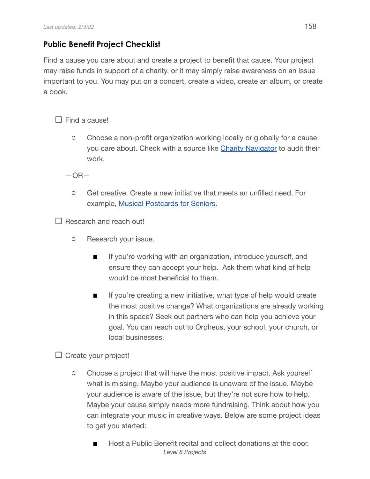## **Public Benefit Project Checklist**

Find a cause you care about and create a project to benefit that cause. Your project may raise funds in support of a charity, or it may simply raise awareness on an issue important to you. You may put on a concert, create a video, create an album, or create a book.

 $\Box$  Find a cause!

○ Choose a non-profit organization working locally or globally for a cause you care about. Check with a source like [Charity Navigator](https://www.charitynavigator.org/) to audit their work.

 $-$ OR $-$ 

○ Get creative. Create a new initiative that meets an unfilled need. For example, Musical [Postcards for](https://www.orpheusacademy.com/orpheus-blog/creating-positive-change-with-music) Seniors.

 $\Box$  Research and reach out!

- Research your issue.
	- **■** If you're working with an organization, introduce yourself, and ensure they can accept your help. Ask them what kind of help would be most beneficial to them.
	- If you're creating a new initiative, what type of help would create the most positive change? What organizations are already working in this space? Seek out partners who can help you achieve your goal. You can reach out to Orpheus, your school, your church, or local businesses.

 $\square$  Create your project!

- Choose a project that will have the most positive impact. Ask yourself what is missing. Maybe your audience is unaware of the issue. Maybe your audience is aware of the issue, but they're not sure how to help. Maybe your cause simply needs more fundraising. Think about how you can integrate your music in creative ways. Below are some project ideas to get you started:
	- Host a Public Benefit recital and collect donations at the door. *Level 8 Projects*